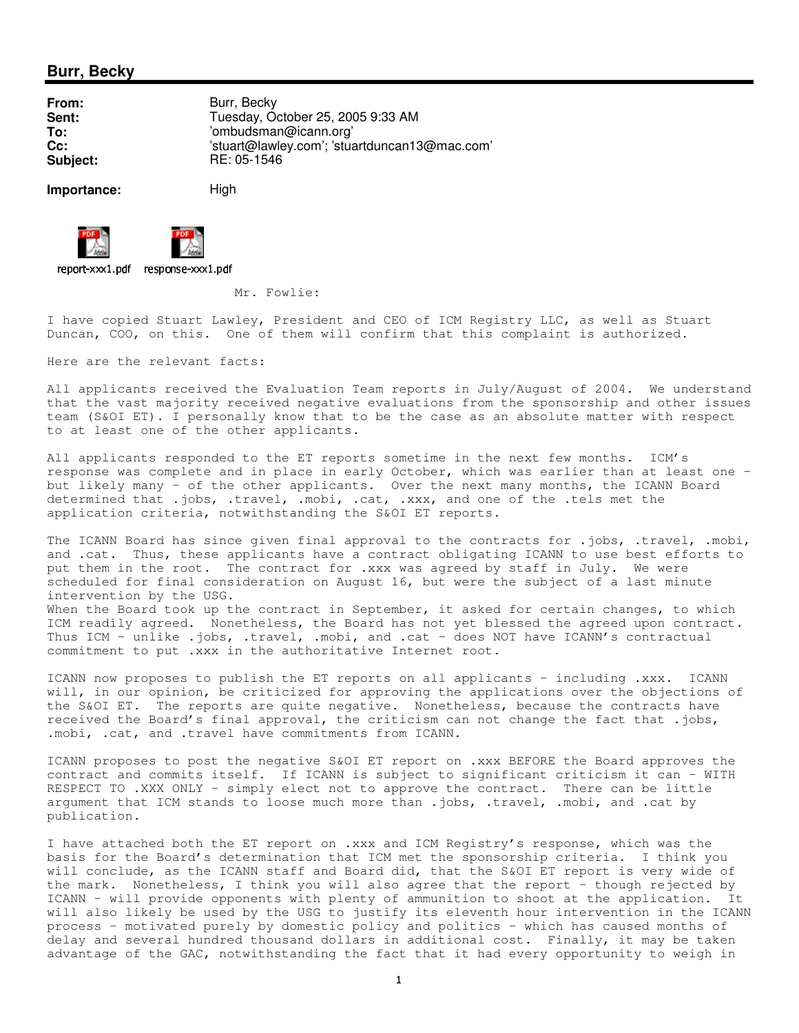## **Burr, Becky**

**From:** Burr, Becky **Sent:** Tuesday, October 25, 2005 9:33 AM **To:** 'ombudsman@icann.org' **Cc:** 'stuart@lawley.com'; 'stuartduncan13@mac.com' **Subject:** RE: 05-1546

**Importance:** High



- -  - 

Mr. Fowlie:

I have copied Stuart Lawley, President and CEO of ICM Registry LLC, as well as Stuart Duncan, COO, on this. One of them will confirm that this complaint is authorized.

Here are the relevant facts:

All applicants received the Evaluation Team reports in July/August of 2004. We understand that the vast majority received negative evaluations from the sponsorship and other issues team (S&OI ET). I personally know that to be the case as an absolute matter with respect to at least one of the other applicants.

All applicants responded to the ET reports sometime in the next few months. ICM's response was complete and in place in early October, which was earlier than at least one but likely many - of the other applicants. Over the next many months, the ICANN Board determined that .jobs, .travel, .mobi, .cat, .xxx, and one of the .tels met the application criteria, notwithstanding the S&OI ET reports.

The ICANN Board has since given final approval to the contracts for .jobs, .travel, .mobi, and .cat. Thus, these applicants have a contract obligating ICANN to use best efforts to put them in the root. The contract for .xxx was agreed by staff in July. We were scheduled for final consideration on August 16, but were the subject of a last minute intervention by the USG. When the Board took up the contract in September, it asked for certain changes, to which ICM readily agreed. Nonetheless, the Board has not yet blessed the agreed upon contract.

Thus ICM - unlike .jobs, .travel, .mobi, and .cat - does NOT have ICANN's contractual commitment to put .xxx in the authoritative Internet root.

ICANN now proposes to publish the ET reports on all applicants - including .xxx. ICANN will, in our opinion, be criticized for approving the applications over the objections of the S&OI ET. The reports are quite negative. Nonetheless, because the contracts have received the Board's final approval, the criticism can not change the fact that .jobs, .mobi, .cat, and .travel have commitments from ICANN.

ICANN proposes to post the negative S&OI ET report on .xxx BEFORE the Board approves the contract and commits itself. If ICANN is subject to significant criticism it can - WITH RESPECT TO .XXX ONLY - simply elect not to approve the contract. There can be little argument that ICM stands to loose much more than .jobs, .travel, .mobi, and .cat by publication.

I have attached both the ET report on .xxx and ICM Registry's response, which was the basis for the Board's determination that ICM met the sponsorship criteria. I think you will conclude, as the ICANN staff and Board did, that the S&OI ET report is very wide of the mark. Nonetheless, I think you will also agree that the report - though rejected by ICANN - will provide opponents with plenty of ammunition to shoot at the application. It will also likely be used by the USG to justify its eleventh hour intervention in the ICANN process - motivated purely by domestic policy and politics - which has caused months of delay and several hundred thousand dollars in additional cost. Finally, it may be taken advantage of the GAC, notwithstanding the fact that it had every opportunity to weigh in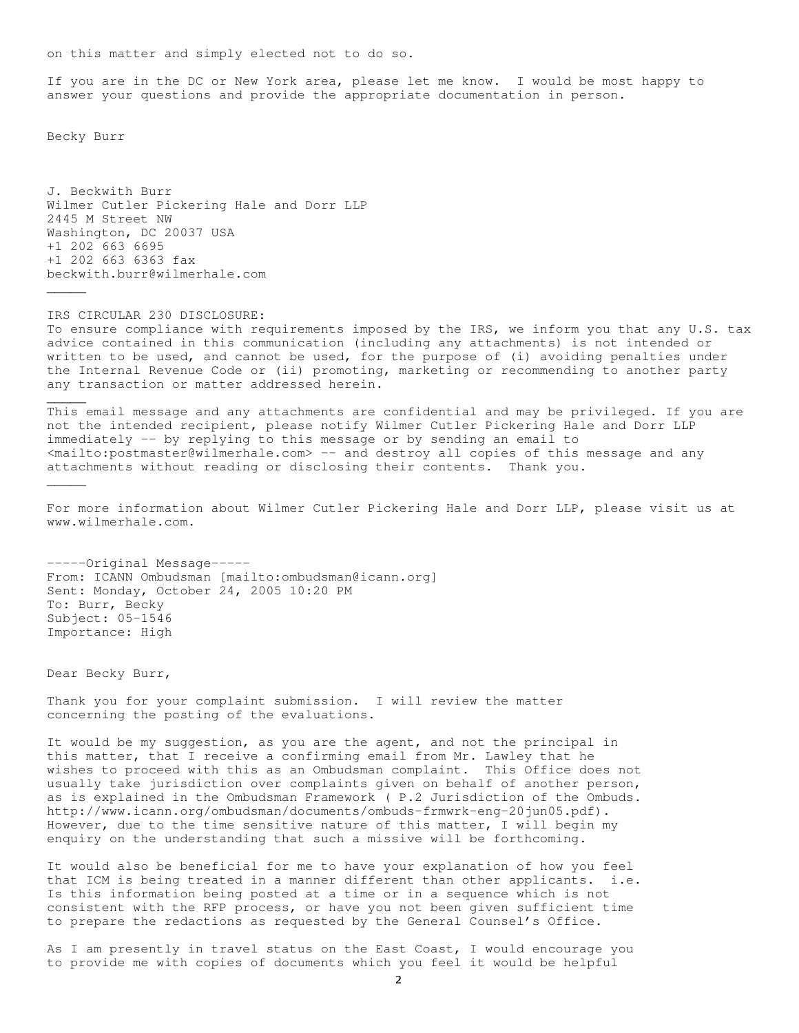on this matter and simply elected not to do so.

If you are in the DC or New York area, please let me know. I would be most happy to answer your questions and provide the appropriate documentation in person.

Becky Burr

 $\overline{\phantom{a}}$ 

 $\overline{\phantom{a}}$ 

 $\overline{\phantom{a}}$ 

J. Beckwith Burr Wilmer Cutler Pickering Hale and Dorr LLP 2445 M Street NW Washington, DC 20037 USA +1 202 663 6695 +1 202 663 6363 fax beckwith.burr@wilmerhale.com

IRS CIRCULAR 230 DISCLOSURE: To ensure compliance with requirements imposed by the IRS, we inform you that any U.S. tax advice contained in this communication (including any attachments) is not intended or written to be used, and cannot be used, for the purpose of (i) avoiding penalties under the Internal Revenue Code or (ii) promoting, marketing or recommending to another party any transaction or matter addressed herein.

This email message and any attachments are confidential and may be privileged. If you are not the intended recipient, please notify Wilmer Cutler Pickering Hale and Dorr LLP immediately -- by replying to this message or by sending an email to <mailto:postmaster@wilmerhale.com> -- and destroy all copies of this message and any attachments without reading or disclosing their contents. Thank you.

For more information about Wilmer Cutler Pickering Hale and Dorr LLP, please visit us at www.wilmerhale.com.

-----Original Message----- From: ICANN Ombudsman [mailto:ombudsman@icann.org] Sent: Monday, October 24, 2005 10:20 PM To: Burr, Becky Subject: 05-1546 Importance: High

Dear Becky Burr,

Thank you for your complaint submission. I will review the matter concerning the posting of the evaluations.

It would be my suggestion, as you are the agent, and not the principal in this matter, that I receive a confirming email from Mr. Lawley that he wishes to proceed with this as an Ombudsman complaint. This Office does not usually take jurisdiction over complaints given on behalf of another person, as is explained in the Ombudsman Framework ( P.2 Jurisdiction of the Ombuds. http://www.icann.org/ombudsman/documents/ombuds-frmwrk-eng-20jun05.pdf). However, due to the time sensitive nature of this matter, I will begin my enquiry on the understanding that such a missive will be forthcoming.

It would also be beneficial for me to have your explanation of how you feel that ICM is being treated in a manner different than other applicants. i.e. Is this information being posted at a time or in a sequence which is not consistent with the RFP process, or have you not been given sufficient time to prepare the redactions as requested by the General Counsel's Office.

As I am presently in travel status on the East Coast, I would encourage you to provide me with copies of documents which you feel it would be helpful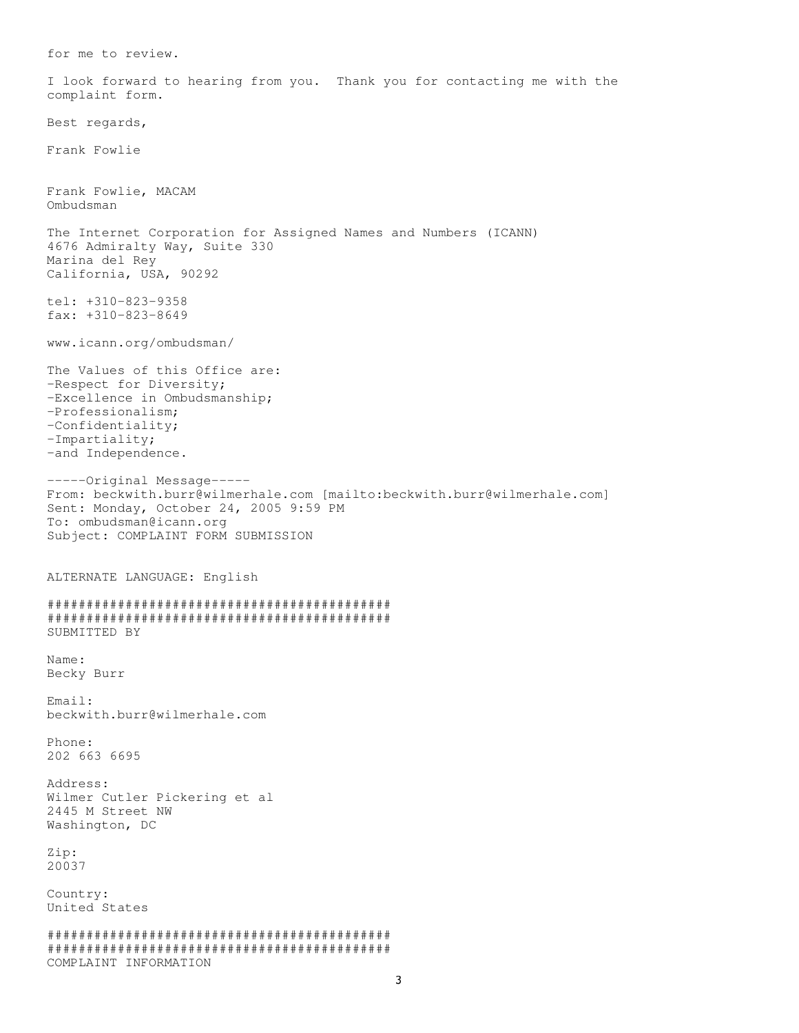for me to review. I look forward to hearing from you. Thank you for contacting me with the complaint form. Best regards, Frank Fowlie Frank Fowlie, MACAM Ombudsman The Internet Corporation for Assigned Names and Numbers (ICANN) 4676 Admiralty Way, Suite 330 Marina del Rey California, USA, 90292 tel: +310-823-9358 fax: +310-823-8649 www.icann.org/ombudsman/ The Values of this Office are: -Respect for Diversity; -Excellence in Ombudsmanship; -Professionalism; -Confidentiality; -Impartiality; -and Independence. -----Original Message----- From: beckwith.burr@wilmerhale.com [mailto:beckwith.burr@wilmerhale.com] Sent: Monday, October 24, 2005 9:59 PM To: ombudsman@icann.org Subject: COMPLAINT FORM SUBMISSION ALTERNATE LANGUAGE: English ############################################ ############################################ SUBMITTED BY Name: Becky Burr Email: beckwith.burr@wilmerhale.com Phone: 202 663 6695 Address: Wilmer Cutler Pickering et al 2445 M Street NW Washington, DC Zip: 20037 Country: United States ############################################ ############################################ COMPLAINT INFORMATION